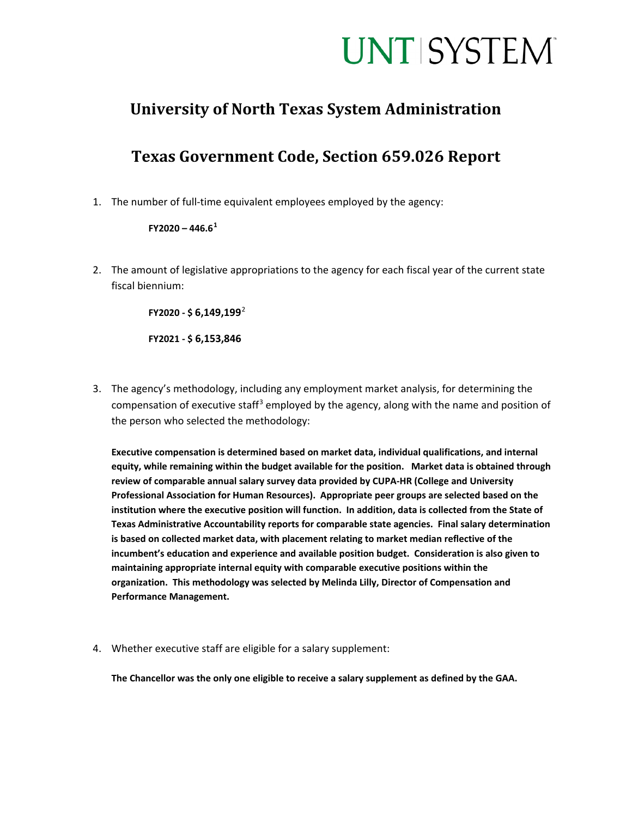## **UNT SYSTEM**

#### **University of North Texas System Administration**

### **Texas Government Code, Section 659.026 Report**

1. The number of full-time equivalent employees employed by the agency:

#### **FY2020 – 446.6[1](#page-1-0)**

2. The amount of legislative appropriations to the agency for each fiscal year of the current state fiscal biennium:

**FY2020 - \$ 6,149,199**[2](#page-1-1)

**FY2021 - \$ 6,153,846**

3. The agency's methodology, including any employment market analysis, for determining the compensation of executive staff<sup>[3](#page-1-2)</sup> employed by the agency, along with the name and position of the person who selected the methodology:

**Executive compensation is determined based on market data, individual qualifications, and internal equity, while remaining within the budget available for the position. Market data is obtained through review of comparable annual salary survey data provided by CUPA-HR (College and University Professional Association for Human Resources). Appropriate peer groups are selected based on the institution where the executive position will function. In addition, data is collected from the State of Texas Administrative Accountability reports for comparable state agencies. Final salary determination is based on collected market data, with placement relating to market median reflective of the incumbent's education and experience and available position budget. Consideration is also given to maintaining appropriate internal equity with comparable executive positions within the organization. This methodology was selected by Melinda Lilly, Director of Compensation and Performance Management.**

4. Whether executive staff are eligible for a salary supplement:

**The Chancellor was the only one eligible to receive a salary supplement as defined by the GAA.**